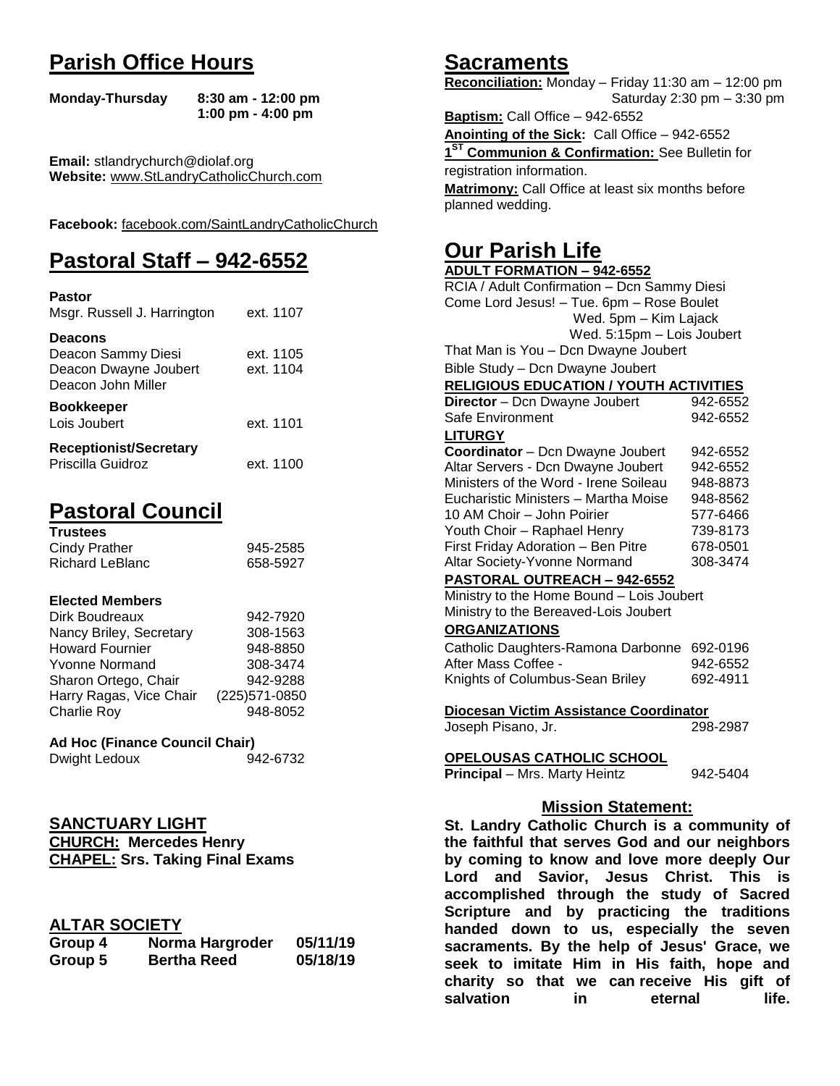## **Parish Office Hours**

```
Monday-Thursday 8:30 am - 12:00 pm
       1:00 pm - 4:00 pm
```
**Email:** stlandrychurch@diolaf.org **Website:** [www.StLandryCatholicChurch.com](http://www.stlandrycatholicchurch.com/)

**Facebook:** [facebook.com/SaintLandryCatholicChurch](http://facebook.com/SaintLandryCatholicChurch)

## **Pastoral Staff – 942-6552**

| <b>Pastor</b><br>Msgr. Russell J. Harrington                                        | ext. 1107              |
|-------------------------------------------------------------------------------------|------------------------|
| <b>Deacons</b><br>Deacon Sammy Diesi<br>Deacon Dwayne Joubert<br>Deacon John Miller | ext. 1105<br>ext. 1104 |
| <b>Bookkeeper</b><br>Lois Joubert                                                   | ext. 1101              |
| <b>Receptionist/Secretary</b><br>Priscilla Guidroz                                  | ext. 1100              |

## **Pastoral Council**

| <b>Trustees</b> |          |
|-----------------|----------|
| Cindy Prather   | 945-2585 |
| Richard LeBlanc | 658-5927 |

#### **Elected Members**

| Dirk Boudreaux          | 942-7920       |
|-------------------------|----------------|
| Nancy Briley, Secretary | 308-1563       |
| <b>Howard Fournier</b>  | 948-8850       |
| <b>Yvonne Normand</b>   | 308-3474       |
| Sharon Ortego, Chair    | 942-9288       |
| Harry Ragas, Vice Chair | (225) 571-0850 |
| <b>Charlie Roy</b>      | 948-8052       |

### **Ad Hoc (Finance Council Chair)**

| Dwight Ledoux | 942-6732 |
|---------------|----------|
|               |          |

# **SANCTUARY LIGHT**

**CHURCH: Mercedes Henry CHAPEL: Srs. Taking Final Exams**

## **ALTAR SOCIETY**

| Group 4 | Norma Hargroder    | 05/11/19 |
|---------|--------------------|----------|
| Group 5 | <b>Bertha Reed</b> | 05/18/19 |

## **Sacraments**

**Reconciliation:** Monday – Friday 11:30 am – 12:00 pm Saturday 2:30 pm – 3:30 pm

**Baptism:** Call Office – 942-6552 **Anointing of the Sick:** Call Office – 942-6552 **1 ST Communion & Confirmation:** See Bulletin for registration information. **Matrimony:** Call Office at least six months before planned wedding.

## **Our Parish Life**

| <b>ADULT FORMATION - 942-6552</b>                 |          |  |
|---------------------------------------------------|----------|--|
| RCIA / Adult Confirmation - Dcn Sammy Diesi       |          |  |
| Come Lord Jesus! - Tue. 6pm - Rose Boulet         |          |  |
| Wed. 5pm - Kim Lajack                             |          |  |
| Wed. 5:15pm - Lois Joubert                        |          |  |
| That Man is You - Dcn Dwayne Joubert              |          |  |
| Bible Study - Dcn Dwayne Joubert                  |          |  |
| <b>RELIGIOUS EDUCATION / YOUTH ACTIVITIES</b>     |          |  |
| Director - Dcn Dwayne Joubert                     | 942-6552 |  |
| Safe Environment                                  | 942-6552 |  |
| <b>LITURGY</b>                                    |          |  |
| Coordinator - Dcn Dwayne Joubert                  | 942-6552 |  |
| Altar Servers - Dcn Dwayne Joubert<br>942-6552    |          |  |
| Ministers of the Word - Irene Soileau<br>948-8873 |          |  |
| Eucharistic Ministers - Martha Moise              | 948-8562 |  |
| 10 AM Choir - John Poirier                        | 577-6466 |  |
| Youth Choir - Raphael Henry                       | 739-8173 |  |
| First Friday Adoration - Ben Pitre                | 678-0501 |  |
| Altar Society-Yvonne Normand                      | 308-3474 |  |
| <b>PASTORAL OUTREACH - 942-6552</b>               |          |  |
| Ministry to the Home Bound - Lois Joubert         |          |  |
| Ministry to the Bereaved-Lois Joubert             |          |  |
| <b>ORGANIZATIONS</b>                              |          |  |
| Catholic Daughters-Ramona Darbonne                | 692-0196 |  |
| After Mass Coffee -                               | 942-6552 |  |
| Knights of Columbus-Sean Briley                   | 692-4911 |  |
| Diocesan Victim Assistance Coordinator            |          |  |
| Joseph Pisano, Jr.                                | 298-2987 |  |
| OPELOUSAS CATHOLIC SCHOOL                         |          |  |
| Principal - Mrs. Marty Heintz                     | 942-5404 |  |
| <b>Mission Statement:</b>                         |          |  |
| St. Landry Catholic Church is a community of      |          |  |
| the faithful that serves God and our neighbors    |          |  |
| bu saming to know and love more deeply Our        |          |  |

**the faithful that serves God and our neighbors by coming to know and love more deeply Our Lord and Savior, Jesus Christ. This is accomplished through the study of Sacred Scripture and by practicing the traditions handed down to us, especially the seven sacraments. By the help of Jesus' Grace, we seek to imitate Him in His faith, hope and charity so that we can receive His gift of salvation in** eternal life.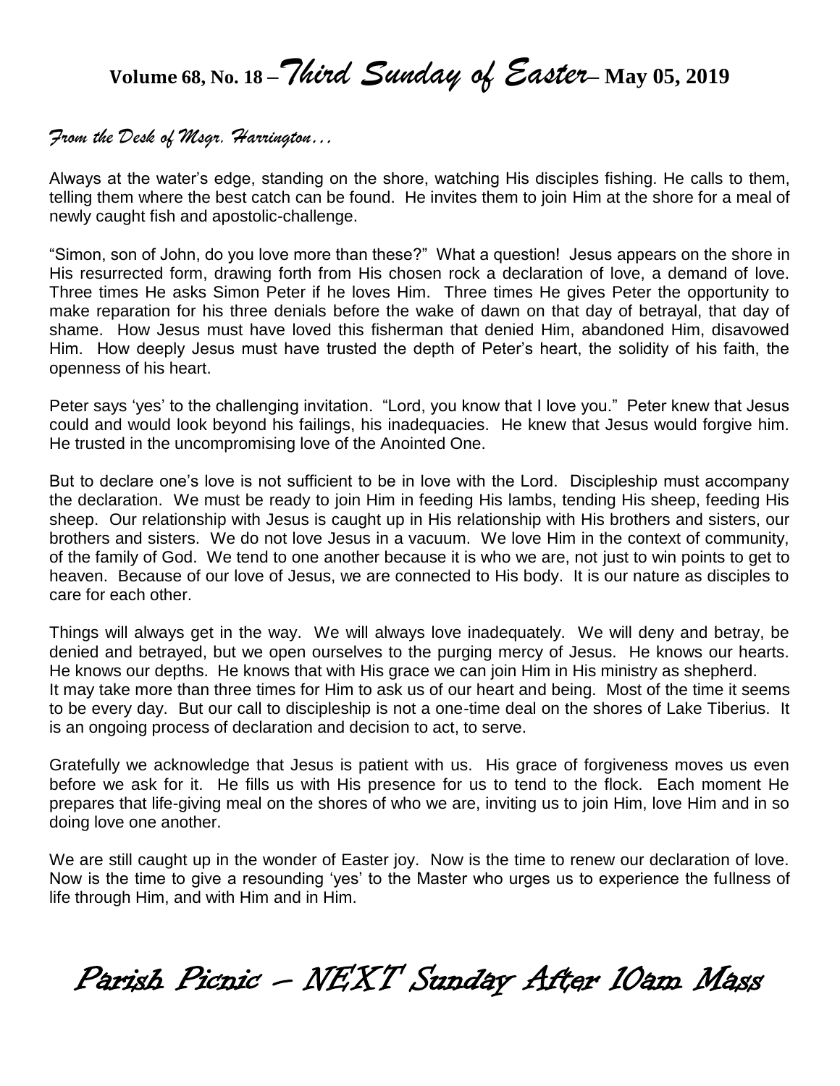**Volume 68, No. 18 –***Third Sunday of Easter***– May 05, <sup>2019</sup>**

## *From the Desk of Msgr. Harrington…*

Always at the water's edge, standing on the shore, watching His disciples fishing. He calls to them, telling them where the best catch can be found. He invites them to join Him at the shore for a meal of newly caught fish and apostolic-challenge.

"Simon, son of John, do you love more than these?" What a question! Jesus appears on the shore in His resurrected form, drawing forth from His chosen rock a declaration of love, a demand of love. Three times He asks Simon Peter if he loves Him. Three times He gives Peter the opportunity to make reparation for his three denials before the wake of dawn on that day of betrayal, that day of shame. How Jesus must have loved this fisherman that denied Him, abandoned Him, disavowed Him. How deeply Jesus must have trusted the depth of Peter's heart, the solidity of his faith, the openness of his heart.

Peter says 'yes' to the challenging invitation. "Lord, you know that I love you." Peter knew that Jesus could and would look beyond his failings, his inadequacies. He knew that Jesus would forgive him. He trusted in the uncompromising love of the Anointed One.

But to declare one's love is not sufficient to be in love with the Lord. Discipleship must accompany the declaration. We must be ready to join Him in feeding His lambs, tending His sheep, feeding His sheep. Our relationship with Jesus is caught up in His relationship with His brothers and sisters, our brothers and sisters. We do not love Jesus in a vacuum. We love Him in the context of community, of the family of God. We tend to one another because it is who we are, not just to win points to get to heaven. Because of our love of Jesus, we are connected to His body. It is our nature as disciples to care for each other.

Things will always get in the way. We will always love inadequately. We will deny and betray, be denied and betrayed, but we open ourselves to the purging mercy of Jesus. He knows our hearts. He knows our depths. He knows that with His grace we can join Him in His ministry as shepherd. It may take more than three times for Him to ask us of our heart and being. Most of the time it seems to be every day. But our call to discipleship is not a one-time deal on the shores of Lake Tiberius. It is an ongoing process of declaration and decision to act, to serve.

Gratefully we acknowledge that Jesus is patient with us. His grace of forgiveness moves us even before we ask for it. He fills us with His presence for us to tend to the flock. Each moment He prepares that life-giving meal on the shores of who we are, inviting us to join Him, love Him and in so doing love one another.

We are still caught up in the wonder of Easter joy. Now is the time to renew our declaration of love. Now is the time to give a resounding 'yes' to the Master who urges us to experience the fullness of life through Him, and with Him and in Him.

Parish Picnic – NEXT Sunday After 10am Mass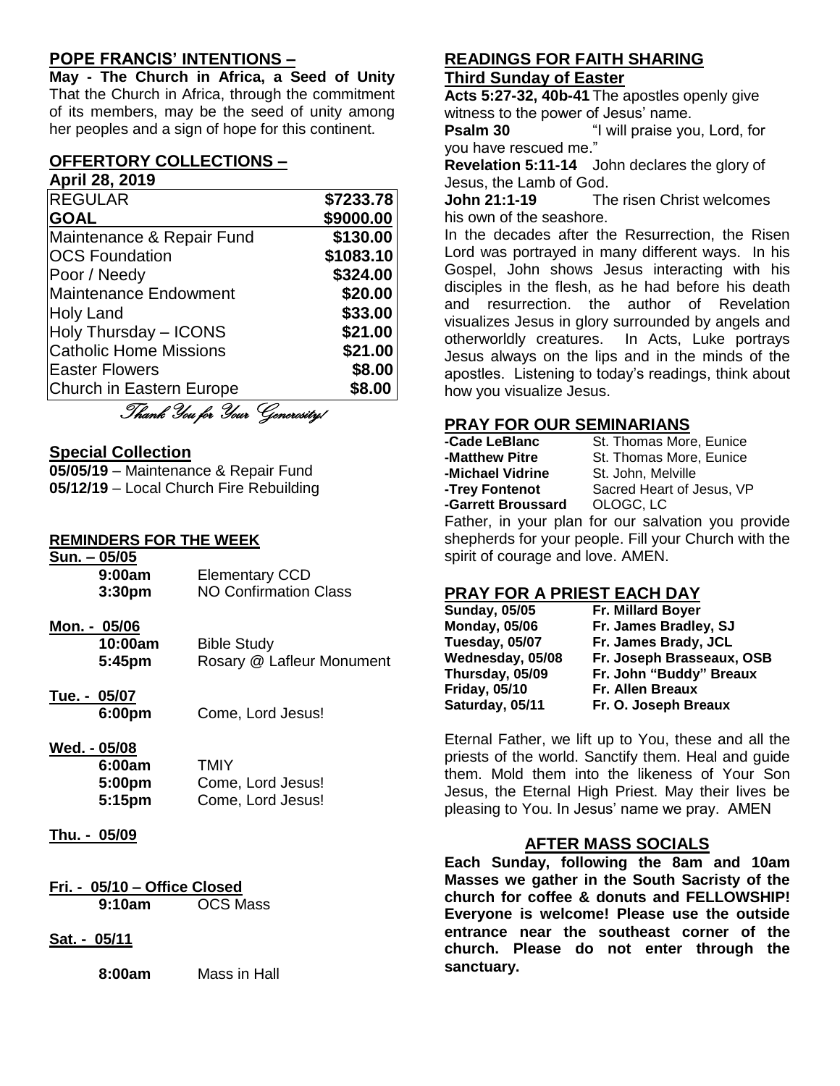## **POPE FRANCIS' INTENTIONS –**

**May - The Church in Africa, a Seed of Unity** That the Church in Africa, through the commitment of its members, may be the seed of unity among her peoples and a sign of hope for this continent.

#### **OFFERTORY COLLECTIONS – April 28, 2019**

| <b>REGULAR</b>                 | \$7233.78 |
|--------------------------------|-----------|
| <b>GOAL</b>                    | \$9000.00 |
| Maintenance & Repair Fund      | \$130.00  |
| <b>OCS Foundation</b>          | \$1083.10 |
| Poor / Needy                   | \$324.00  |
| <b>Maintenance Endowment</b>   | \$20.00   |
| <b>Holy Land</b>               | \$33.00   |
| Holy Thursday - ICONS          | \$21.00   |
| <b>Catholic Home Missions</b>  | \$21.00   |
| <b>Easter Flowers</b>          | \$8.00    |
| Church in Eastern Europe       | \$8.00    |
| Thank You for Your Generosity! |           |

#### **Special Collection**

**05/05/19** – Maintenance & Repair Fund **05/12/19** – Local Church Fire Rebuilding

#### **REMINDERS FOR THE WEEK**

| Sun. – 05/05<br>9:00am<br>3:30 <sub>pm</sub> | <b>Elementary CCD</b><br><b>NO Confirmation Class</b> |
|----------------------------------------------|-------------------------------------------------------|
| Mon. - 05/06<br>10:00am<br>5:45pm            | <b>Bible Study</b><br>Rosary @ Lafleur Monument       |
| Tue. - 05/07<br>6:00pm                       | Come, Lord Jesus!                                     |
| Wed. - 05/08<br>6:00am<br>5:00pm<br>5:15pm   | <b>TMIY</b><br>Come, Lord Jesus!<br>Come, Lord Jesus! |
| Thu. - 05/09                                 |                                                       |

- **Fri. - 05/10 – Office Closed 9:10am** OCS Mass
- **Sat. - 05/11**

**8:00am** Mass in Hall

#### **READINGS FOR FAITH SHARING Third Sunday of Easter**

**Acts 5:27-32, 40b-41** The apostles openly give witness to the power of Jesus' name.

**Psalm 30** "I will praise you, Lord, for you have rescued me."

**Revelation 5:11-14** John declares the glory of Jesus, the Lamb of God.

**John 21:1-19** The risen Christ welcomes his own of the seashore.

In the decades after the Resurrection, the Risen Lord was portrayed in many different ways. In his Gospel, John shows Jesus interacting with his disciples in the flesh, as he had before his death and resurrection. the author of Revelation visualizes Jesus in glory surrounded by angels and otherworldly creatures. In Acts, Luke portrays Jesus always on the lips and in the minds of the apostles. Listening to today's readings, think about how you visualize Jesus.

## **PRAY FOR OUR SEMINARIANS**

| -Cade LeBlanc      | St. Thomas More, Eunice                               |
|--------------------|-------------------------------------------------------|
| -Matthew Pitre     | St. Thomas More, Eunice                               |
| -Michael Vidrine   | St. John, Melville                                    |
| -Trey Fontenot     | Sacred Heart of Jesus, VP                             |
| -Garrett Broussard | OLOGC, LC                                             |
|                    | $\Gamma$ othar in vour plan for our coluction vou pro |

Father, in your plan for our salvation you provide shepherds for your people. Fill your Church with the spirit of courage and love. AMEN.

## **PRAY FOR A PRIEST EACH DAY**

| <b>Sunday, 05/05</b> | Fr. Millard Boyer         |
|----------------------|---------------------------|
| <b>Monday, 05/06</b> | Fr. James Bradley, SJ     |
| Tuesday, 05/07       | Fr. James Brady, JCL      |
| Wednesday, 05/08     | Fr. Joseph Brasseaux, OSB |
| Thursday, 05/09      | Fr. John "Buddy" Breaux   |
| <b>Friday, 05/10</b> | <b>Fr. Allen Breaux</b>   |
| Saturday, 05/11      | Fr. O. Joseph Breaux      |

Eternal Father, we lift up to You, these and all the priests of the world. Sanctify them. Heal and guide them. Mold them into the likeness of Your Son Jesus, the Eternal High Priest. May their lives be pleasing to You. In Jesus' name we pray. AMEN

## **AFTER MASS SOCIALS**

**Each Sunday, following the 8am and 10am Masses we gather in the South Sacristy of the church for coffee & donuts and FELLOWSHIP! Everyone is welcome! Please use the outside entrance near the southeast corner of the church. Please do not enter through the sanctuary.**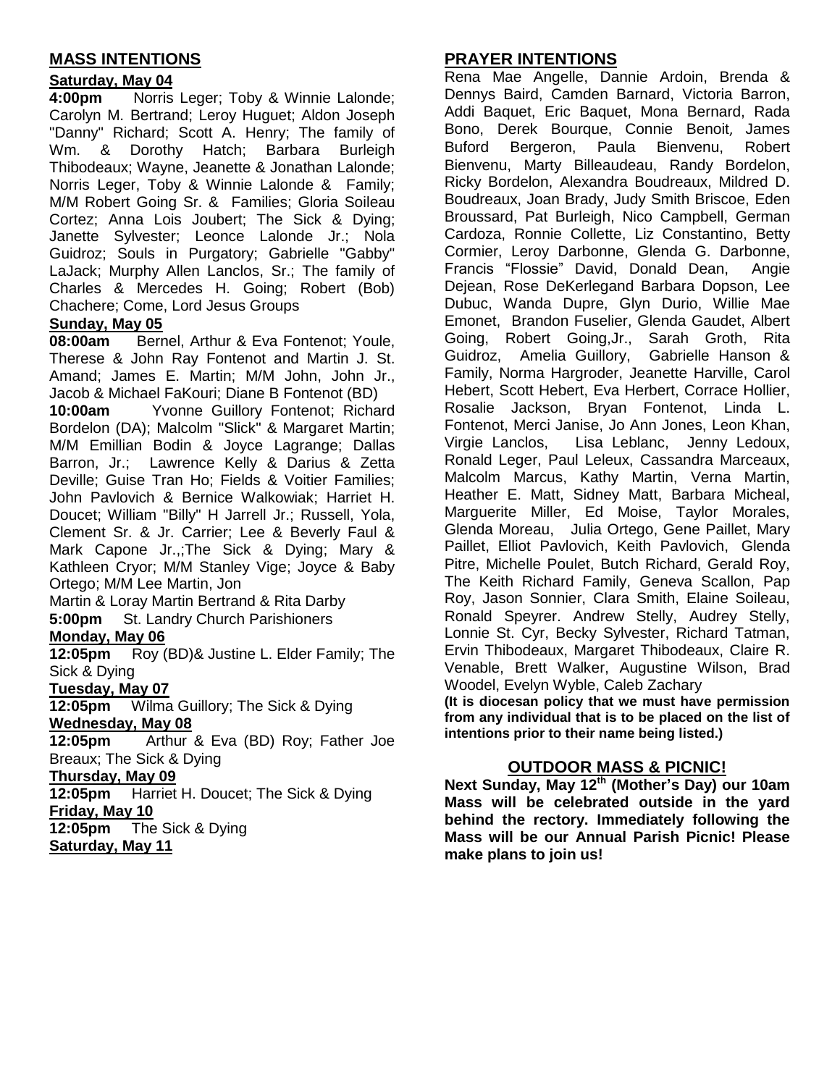## **MASS INTENTIONS**

#### **Saturday, May 04**

**4:00pm** Norris Leger; Toby & Winnie Lalonde; Carolyn M. Bertrand; Leroy Huguet; Aldon Joseph "Danny" Richard; Scott A. Henry; The family of Wm. & Dorothy Hatch; Barbara Burleigh Thibodeaux; Wayne, Jeanette & Jonathan Lalonde; Norris Leger, Toby & Winnie Lalonde & Family; M/M Robert Going Sr. & Families; Gloria Soileau Cortez; Anna Lois Joubert; The Sick & Dying; Janette Sylvester; Leonce Lalonde Jr.; Nola Guidroz; Souls in Purgatory; Gabrielle "Gabby" LaJack; Murphy Allen Lanclos, Sr.; The family of Charles & Mercedes H. Going; Robert (Bob) Chachere; Come, Lord Jesus Groups

#### **Sunday, May 05**

**08:00am** Bernel, Arthur & Eva Fontenot; Youle, Therese & John Ray Fontenot and Martin J. St. Amand; James E. Martin; M/M John, John Jr., Jacob & Michael FaKouri; Diane B Fontenot (BD)

**10:00am** Yvonne Guillory Fontenot; Richard Bordelon (DA); Malcolm "Slick" & Margaret Martin; M/M Emillian Bodin & Joyce Lagrange; Dallas Barron, Jr.; Lawrence Kelly & Darius & Zetta Deville; Guise Tran Ho; Fields & Voitier Families; John Pavlovich & Bernice Walkowiak; Harriet H. Doucet; William "Billy" H Jarrell Jr.; Russell, Yola, Clement Sr. & Jr. Carrier; Lee & Beverly Faul & Mark Capone Jr.,;The Sick & Dying; Mary & Kathleen Cryor; M/M Stanley Vige; Joyce & Baby Ortego; M/M Lee Martin, Jon

Martin & Loray Martin Bertrand & Rita Darby **5:00pm** St. Landry Church Parishioners

#### **Monday, May 06**

**12:05pm** Roy (BD)& Justine L. Elder Family; The Sick & Dying

#### **Tuesday, May 07**

**12:05pm** Wilma Guillory; The Sick & Dying **Wednesday, May 08**

**12:05pm** Arthur & Eva (BD) Roy; Father Joe Breaux; The Sick & Dying

#### **Thursday, May 09**

**12:05pm** Harriet H. Doucet; The Sick & Dying **Friday, May 10**

**12:05pm** The Sick & Dying **Saturday, May 11**

## **PRAYER INTENTIONS**

Rena Mae Angelle, Dannie Ardoin, Brenda & Dennys Baird, Camden Barnard, Victoria Barron, Addi Baquet, Eric Baquet, Mona Bernard, Rada Bono, Derek Bourque, Connie Benoit, James Buford Bergeron, Paula Bienvenu, Robert Bienvenu, Marty Billeaudeau, Randy Bordelon, Ricky Bordelon, Alexandra Boudreaux, Mildred D. Boudreaux, Joan Brady, Judy Smith Briscoe, Eden Broussard, Pat Burleigh, Nico Campbell, German Cardoza, Ronnie Collette, Liz Constantino, Betty Cormier, Leroy Darbonne, Glenda G. Darbonne, Francis "Flossie" David, Donald Dean, Angie Dejean, Rose DeKerlegand Barbara Dopson, Lee Dubuc, Wanda Dupre, Glyn Durio, Willie Mae Emonet, Brandon Fuselier, Glenda Gaudet, Albert Going, Robert Going,Jr., Sarah Groth, Rita Guidroz, Amelia Guillory, Gabrielle Hanson & Family, Norma Hargroder, Jeanette Harville, Carol Hebert, Scott Hebert, Eva Herbert, Corrace Hollier, Rosalie Jackson, Bryan Fontenot, Linda L. Fontenot, Merci Janise, Jo Ann Jones, Leon Khan, Virgie Lanclos, Lisa Leblanc, Jenny Ledoux, Ronald Leger, Paul Leleux, Cassandra Marceaux, Malcolm Marcus, Kathy Martin, Verna Martin, Heather E. Matt, Sidney Matt, Barbara Micheal, Marguerite Miller, Ed Moise, Taylor Morales, Glenda Moreau, Julia Ortego, Gene Paillet, Mary Paillet, Elliot Pavlovich, Keith Pavlovich, Glenda Pitre, Michelle Poulet, Butch Richard, Gerald Roy, The Keith Richard Family, Geneva Scallon, Pap Roy, Jason Sonnier, Clara Smith, Elaine Soileau, Ronald Speyrer. Andrew Stelly, Audrey Stelly, Lonnie St. Cyr, Becky Sylvester, Richard Tatman, Ervin Thibodeaux, Margaret Thibodeaux, Claire R. Venable, Brett Walker, Augustine Wilson, Brad Woodel, Evelyn Wyble, Caleb Zachary **(It is diocesan policy that we must have permission from any individual that is to be placed on the list of** 

#### **OUTDOOR MASS & PICNIC!**

**intentions prior to their name being listed.)**

**Next Sunday, May 12th (Mother's Day) our 10am Mass will be celebrated outside in the yard behind the rectory. Immediately following the Mass will be our Annual Parish Picnic! Please make plans to join us!**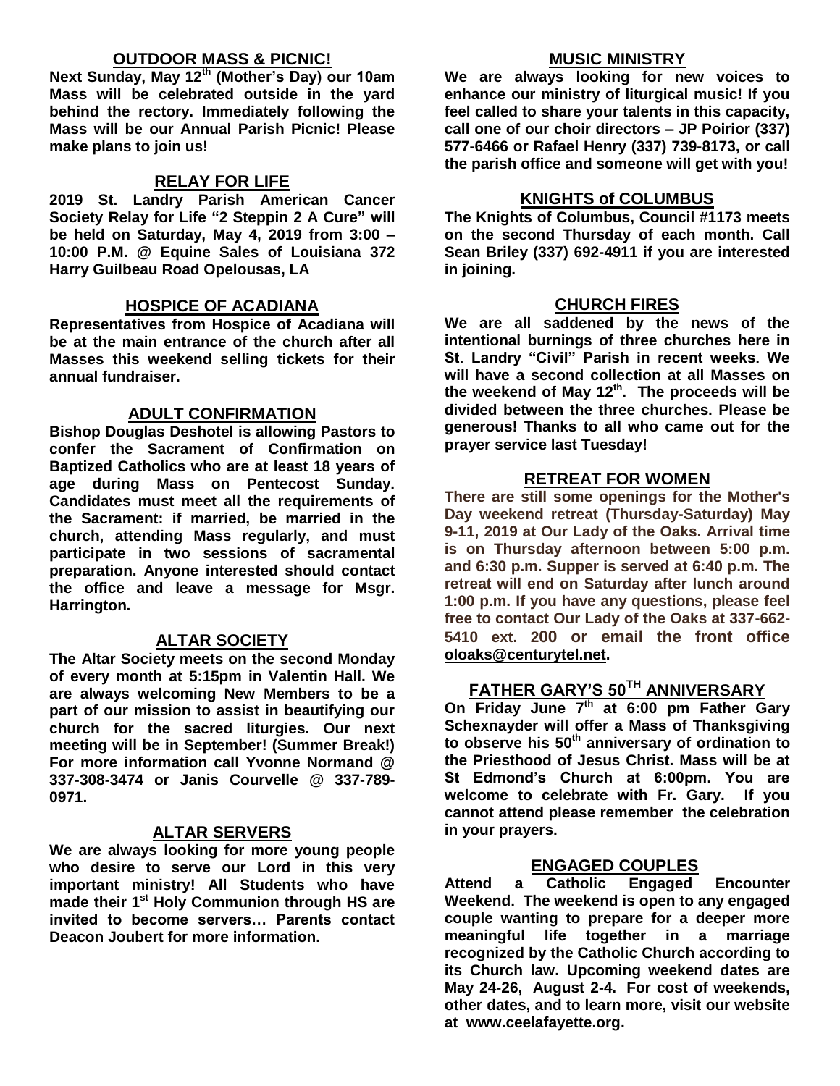### **OUTDOOR MASS & PICNIC!**

**Next Sunday, May 12th (Mother's Day) our 10am Mass will be celebrated outside in the yard behind the rectory. Immediately following the Mass will be our Annual Parish Picnic! Please make plans to join us!**

## **RELAY FOR LIFE**

**2019 St. Landry Parish American Cancer Society Relay for Life "2 Steppin 2 A Cure" will be held on Saturday, May 4, 2019 from 3:00 – 10:00 P.M. @ Equine Sales of Louisiana 372 Harry Guilbeau Road Opelousas, LA**

#### **HOSPICE OF ACADIANA**

**Representatives from Hospice of Acadiana will be at the main entrance of the church after all Masses this weekend selling tickets for their annual fundraiser.**

#### **ADULT CONFIRMATION**

**Bishop Douglas Deshotel is allowing Pastors to confer the Sacrament of Confirmation on Baptized Catholics who are at least 18 years of age during Mass on Pentecost Sunday. Candidates must meet all the requirements of the Sacrament: if married, be married in the church, attending Mass regularly, and must participate in two sessions of sacramental preparation. Anyone interested should contact the office and leave a message for Msgr. Harrington.** 

### **ALTAR SOCIETY**

**The Altar Society meets on the second Monday of every month at 5:15pm in Valentin Hall. We are always welcoming New Members to be a part of our mission to assist in beautifying our church for the sacred liturgies. Our next meeting will be in September! (Summer Break!) For more information call Yvonne Normand @ 337-308-3474 or Janis Courvelle @ 337-789- 0971.** 

#### **ALTAR SERVERS**

**We are always looking for more young people who desire to serve our Lord in this very important ministry! All Students who have made their 1st Holy Communion through HS are invited to become servers… Parents contact Deacon Joubert for more information.**

#### **MUSIC MINISTRY**

**We are always looking for new voices to enhance our ministry of liturgical music! If you feel called to share your talents in this capacity, call one of our choir directors – JP Poirior (337) 577-6466 or Rafael Henry (337) 739-8173, or call the parish office and someone will get with you!**

#### **KNIGHTS of COLUMBUS**

**The Knights of Columbus, Council #1173 meets on the second Thursday of each month. Call Sean Briley (337) 692-4911 if you are interested in joining.** 

#### **CHURCH FIRES**

**We are all saddened by the news of the intentional burnings of three churches here in St. Landry "Civil" Parish in recent weeks. We will have a second collection at all Masses on the weekend of May 12th. The proceeds will be divided between the three churches. Please be generous! Thanks to all who came out for the prayer service last Tuesday!**

#### **RETREAT FOR WOMEN**

**There are still some openings for the Mother's Day weekend retreat (Thursday-Saturday) May 9-11, 2019 at Our Lady of the Oaks. Arrival time is on Thursday afternoon between 5:00 p.m. and 6:30 p.m. Supper is served at 6:40 p.m. The retreat will end on Saturday after lunch around 1:00 p.m. If you have any questions, please feel free to contact Our Lady of the Oaks at 337-662- 5410 ext. 200 or email the front office [oloaks@centurytel.net.](mailto:oloaks@centurytel.net)**

## **FATHER GARY'S 50TH ANNIVERSARY**

**On Friday June 7th at 6:00 pm Father Gary Schexnayder will offer a Mass of Thanksgiving to observe his 50 th anniversary of ordination to the Priesthood of Jesus Christ. Mass will be at St Edmond's Church at 6:00pm. You are welcome to celebrate with Fr. Gary. If you cannot attend please remember the celebration in your prayers.** 

### **ENGAGED COUPLES**

**Attend a Catholic Engaged Encounter Weekend. The weekend is open to any engaged couple wanting to prepare for a deeper more meaningful life together in a marriage recognized by the Catholic Church according to its Church law. Upcoming weekend dates are May 24-26, August 2-4. For cost of weekends, other dates, and to learn more, visit our website at www.ceelafayette.org.**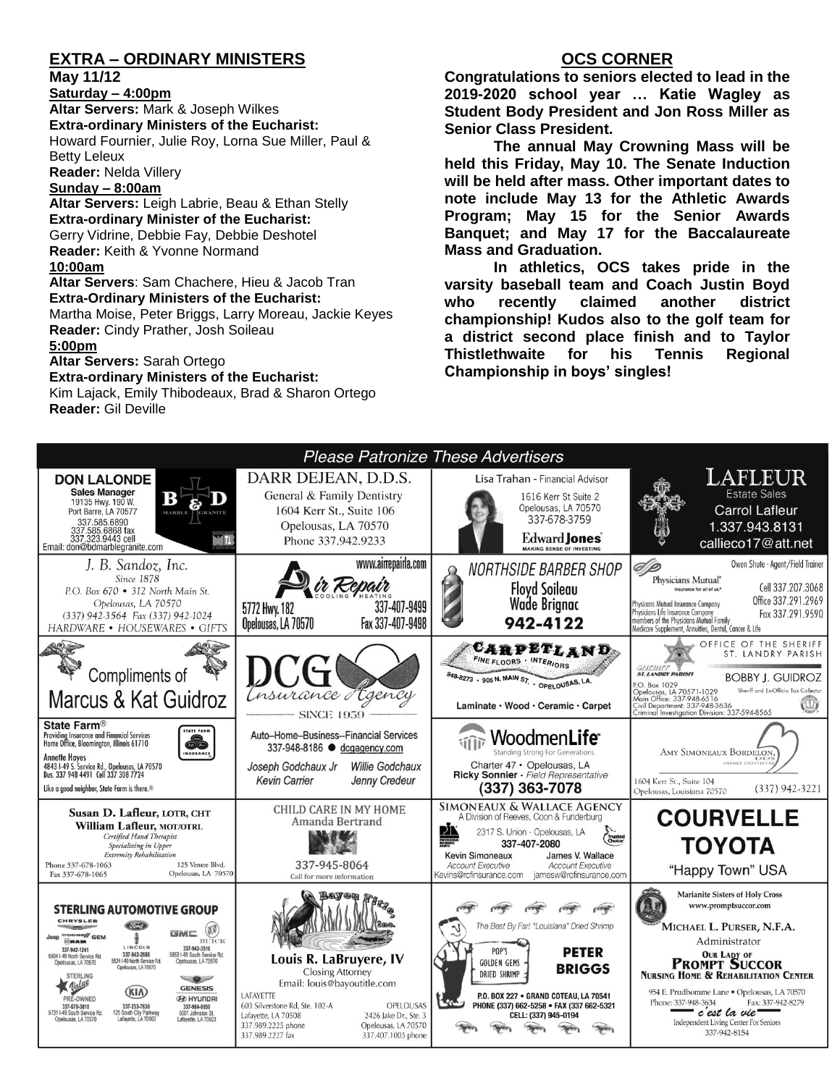## **EXTRA – ORDINARY MINISTERS**

**May 11/12**

**Saturday – 4:00pm Altar Servers:** Mark & Joseph Wilkes **Extra-ordinary Ministers of the Eucharist:**  Howard Fournier, Julie Roy, Lorna Sue Miller, Paul & Betty Leleux

**Reader:** Nelda Villery

#### **Sunday – 8:00am**

**Altar Servers:** Leigh Labrie, Beau & Ethan Stelly **Extra-ordinary Minister of the Eucharist:** Gerry Vidrine, Debbie Fay, Debbie Deshotel **Reader:** Keith & Yvonne Normand **10:00am**

**Altar Servers**: Sam Chachere, Hieu & Jacob Tran **Extra-Ordinary Ministers of the Eucharist:** Martha Moise, Peter Briggs, Larry Moreau, Jackie Keyes

**Reader:** Cindy Prather, Josh Soileau

#### **5:00pm**

**Altar Servers:** Sarah Ortego

#### **Extra-ordinary Ministers of the Eucharist:**

Kim Lajack, Emily Thibodeaux, Brad & Sharon Ortego **Reader:** Gil Deville

## **OCS CORNER**

**Congratulations to seniors elected to lead in the 2019-2020 school year … Katie Wagley as Student Body President and Jon Ross Miller as Senior Class President.**

**The annual May Crowning Mass will be held this Friday, May 10. The Senate Induction will be held after mass. Other important dates to note include May 13 for the Athletic Awards Program; May 15 for the Senior Awards Banquet; and May 17 for the Baccalaureate Mass and Graduation.**

**In athletics, OCS takes pride in the varsity baseball team and Coach Justin Boyd who recently claimed another district championship! Kudos also to the golf team for a district second place finish and to Taylor Thistlethwaite for his Tennis Regional Championship in boys' singles!**